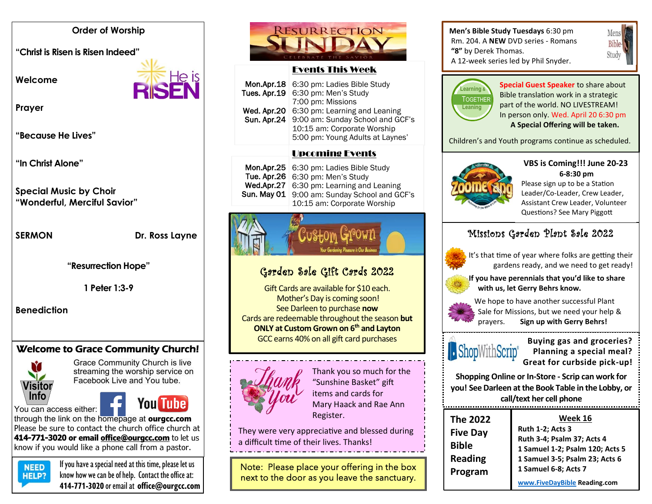#### **Order of Worship**

**"Christ is Risen is Risen Indeed"** 

**Welcome** 



**Prayer**

**"Because He Lives"**

**"In Christ Alone"**

**Special Music by Choir "Wonderful, Merciful Savior"**

**SERMON** Dr. Ross Layne

**"Resurrection Hope"**

**1 Peter 1:3-9**

**Benediction**

# Welcome to Grace Community Church!



Grace Community Church is live streaming the worship service on Facebook Live and You tube.

# You Tube

You can access either: through the link on the homepage at **ourgcc.com** 



Please be sure to contact the church office church at **414-771-3020 or email [office@ourgcc.com](mailto:office@ourgcc.com)** to let us know if you would like a phone call from a pastor.



 $NED$  If you have a special need at this time, please let us **HELP?** know how we can be of help. Contact the office at: **414-771-3020** or email at **[office@ourgcc.com](mailto:office@ourgcc.com)**



#### Events This Week

|             | <b>Mon.Apr.18</b> 6:30 pm: Ladies Bible Study |
|-------------|-----------------------------------------------|
|             | Tues. Apr.19 6:30 pm: Men's Study             |
|             | 7:00 pm: Missions                             |
|             | Wed. Apr.20 6:30 pm: Learning and Leaning     |
| Sun. Apr.24 | 9:00 am: Sunday School and GCF's              |
|             | 10:15 am: Corporate Worship                   |
|             | 5:00 pm: Young Adults at Laynes'              |
|             |                                               |

#### Upcoming Events

| Mon.Apr.25   6:30 pm: Ladies Bible Study     |
|----------------------------------------------|
| Tue. Apr.26   6:30 pm: Men's Study           |
| Wed.Apr.27   6:30 pm: Learning and Leaning   |
| Sun. May 01 9:00 am: Sunday School and GCF's |
| 10:15 am: Corporate Worship                  |



# Garden Sale Gift Cards 2022

Gift Cards are available for \$10 each. Mother's Day is coming soon! See Darleen to purchase **now** Cards are redeemable throughout the season **but ONLY at Custom Grown on 6th and Layton** GCC earns 40% on all gift card purchases



Thank you so much for the "Sunshine Basket" gift items and cards for Mary Haack and Rae Ann Register.

They were very appreciative and blessed during a difficult time of their lives. Thanks!

Note: Please place your offering in the box next to the door as you leave the sanctuary.

#### **Men's Bible Study Tuesdays** 6:30 pm Rm. 204. A **NEW** DVD series - Romans **"8"** by Derek Thomas. A 12-week series led by Phil Snyder.





**Special Guest Speaker** to share about **Assurance of Salvation work in a strategic<br>
Bible translation work in a strategic** part of the world. NO LIVESTREAM! In person only. Wed. April 20 6:30 pm **A Special Offering will be taken.**

Children's and Youth programs continue as scheduled.



**VBS is Coming!!! June 20-23 6-8:30 pm**

Please sign up to be a Station Leader/Co-Leader, Crew Leader, Assistant Crew Leader, Volunteer Questions? See Mary Piggott

# Missions Garden Plant Sale 2022



 It's that time of year where folks are getting their gardens ready, and we need to get ready!

 **If you have perennials that you'd like to share with us, let Gerry Behrs know.**



 We hope to have another successful Plant Sale for Missions, but we need your help & prayers. **Sign up with Gerry Behrs!**



**Buying gas and groceries?**<br>**Planning a special meal? Planning a special meal? Great for curbside pick-up!**

**Shopping Online or In-Store - Scrip can work for you! See Darleen at the Book Table in the Lobby, or call/text her cell phone**

| <b>The 2022</b> | Week 16                         |
|-----------------|---------------------------------|
| <b>Five Day</b> | <b>Ruth 1-2; Acts 3</b>         |
|                 | Ruth 3-4; Psalm 37; Acts 4      |
| <b>Bible</b>    | 1 Samuel 1-2; Psalm 120; Acts 5 |
| <b>Reading</b>  | 1 Samuel 3-5; Psalm 23; Acts 6  |
| Program         | 1 Samuel 6-8; Acts 7            |
|                 | www.FiveDayBible Reading.com    |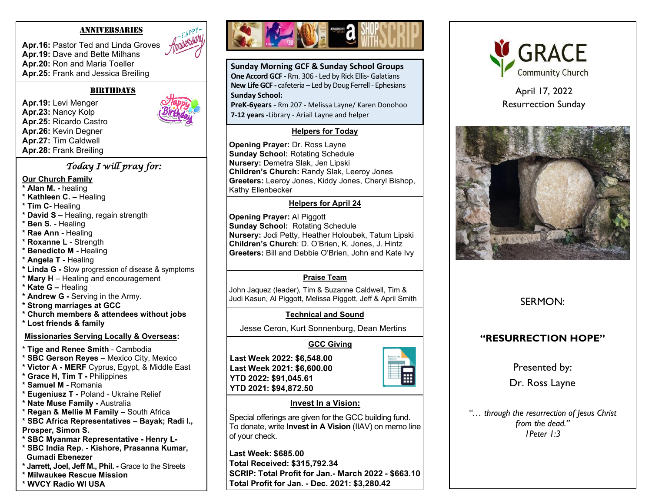#### ANNIVERSARIES

**Apr.16:** Pastor Ted and Linda Groves **Apr.19:** Dave and Bette Milhans **Apr.20:** Ron and Maria Toeller **Apr.25:** Frank and Jessica Breiling

#### **BIRTHDAYS**

**Apr.19:** Levi Menger **Apr.23:** Nancy Kolp **Apr.25:** Ricardo Castro **Apr.26:** Kevin Degner **Apr.27:** Tim Caldwell **Apr.28:** Frank Breiling

#### *Today I will pray for:*

#### **Our Church Family**

- **\* Alan M. -** healing
- **\* Kathleen C. –** Healing
- **\* Tim C-** Healing
- **\* David S –** Healing, regain strength
- **\* Ben S.** Healing
- **\* Rae Ann -** Healing
- **\* Roxanne L**  Strength
- **\* Benedicto M -** Healing
- **\* Angela T -** Healing
- **\* Linda G -** Slow progression of disease & symptoms
- \* **Mary H**  Healing and encouragement
- **\* Kate G –** Healing
- **\* Andrew G -** Serving in the Army.
- **\* Strong marriages at GCC**
- **\* Church members & attendees without jobs**
- **\* Lost friends & family**

#### **Missionaries Serving Locally & Overseas:**

- \* **Tige and Renee Smith** Cambodia
- **\* SBC Gerson Reyes –** Mexico City, Mexico
- **\* Victor A - MERF** Cyprus, Egypt, & Middle East
- **\* Grace H, Tim T -** Philippines
- **\* Samuel M -** Romania
- **\* Eugeniusz T -** Poland Ukraine Relief
- **\* Nate Muse Family -** Australia
- **\* Regan & Mellie M Family**  South Africa
- **\* SBC Africa Representatives – Bayak; Radi I.,**
- **Prosper, Simon S.**
- **\* SBC Myanmar Representative - Henry L-**
- **\* SBC India Rep. - Kishore, Prasanna Kumar, Gumadi Ebenezer**
- **\* Jarrett, Joel, Jeff M., Phil. -** Grace to the Streets
- **\* Milwaukee Rescue Mission**
- **\* WVCY Radio WI USA**



**Sunday Morning GCF & Sunday School Groups One Accord GCF -** Rm. 306 - Led by Rick Ellis- Galatians **New Life GCF -** cafeteria – Led by Doug Ferrell - Ephesians **Sunday School:**

**PreK-6years -** Rm 207 - Melissa Layne/ Karen Donohoo **7-12 years -**Library - Ariail Layne and helper

#### **Helpers for Today**

**Opening Prayer:** Dr. Ross Layne **Sunday School:** Rotating Schedule **Nursery:** Demetra Slak, Jen Lipski **Children's Church:** Randy Slak, Leeroy Jones **Greeters:** Leeroy Jones, Kiddy Jones, Cheryl Bishop, Kathy Ellenbecker

#### **Helpers for April 24**

**Opening Prayer:** Al Piggott **Sunday School:** Rotating Schedule **Nursery:** Jodi Petty, Heather Holoubek, Tatum Lipski **Children's Church**: D. O'Brien, K. Jones, J. Hintz **Greeters:** Bill and Debbie O'Brien, John and Kate Ivy

#### **Praise Team**

John Jaquez (leader), Tim & Suzanne Caldwell, Tim & Judi Kasun, Al Piggott, Melissa Piggott, Jeff & April Smith

#### **Technical and Sound**

Jesse Ceron, Kurt Sonnenburg, Dean Mertins

#### **GCC Giving**

**Last Week 2022: \$6,548.00 Last Week 2021: \$6,600.00 YTD 2022: \$91,045.61 YTD 2021: \$94,872.50**



#### **Invest In a Vision:**

Special offerings are given for the GCC building fund. To donate, write **Invest in A Vision** (IIAV) on memo line of your check.

**Last Week: \$685.00 Total Received: \$315,792.34 SCRIP: Total Profit for Jan.- March 2022 - \$663.10 Total Profit for Jan. - Dec. 2021: \$3,280.42**



April 17, 2022 Resurrection Sunday



## SERMON:

### **"RESURRECTION HOPE"**

Presented by:

Dr. Ross Layne

*"… through the resurrection of Jesus Christ from the dead." 1Peter 1:3*